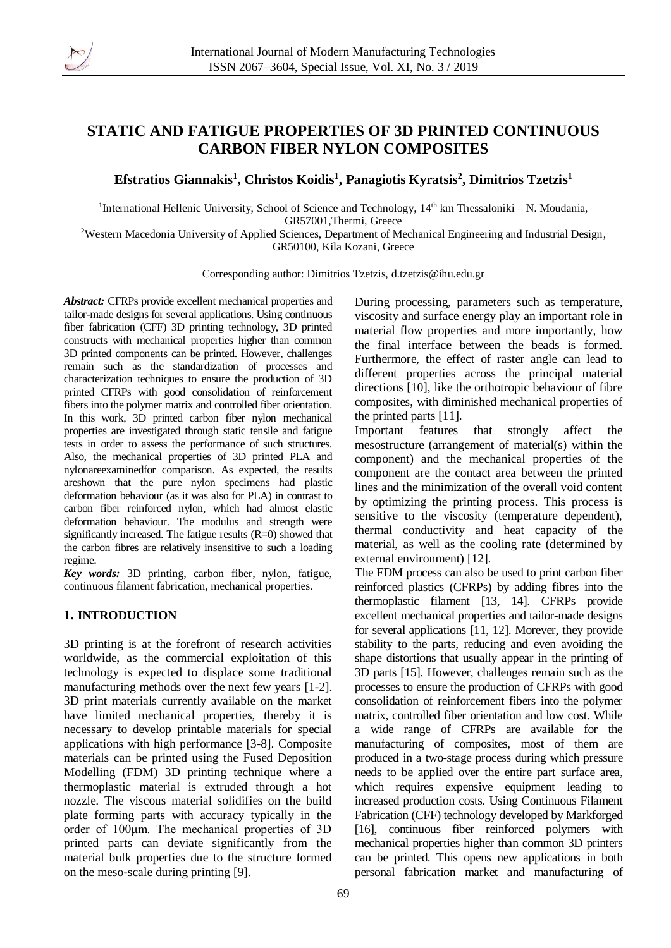

# **STATIC AND FATIGUE PROPERTIES OF 3D PRINTED CONTINUOUS CARBON FIBER NYLON COMPOSITES**

**Efstratios Giannakis<sup>1</sup> , Christos Koidis<sup>1</sup> , Panagiotis Kyratsis<sup>2</sup> , Dimitrios Tzetzis<sup>1</sup>**

<sup>1</sup>International Hellenic University, School of Science and Technology, 14<sup>th</sup> km Thessaloniki – N. Moudania, GR57001,Thermi, Greece

<sup>2</sup>Western Macedonia University of Applied Sciences, Department of Mechanical Engineering and Industrial Design, GR50100, Kila Kozani, Greece

Corresponding author: Dimitrios Tzetzis, [d.tzetzis@ihu.edu.gr](mailto:d.tzetzis@ihu.edu.gr)

*Abstract:* CFRPs provide excellent mechanical properties and tailor-made designs for several applications. Using continuous fiber fabrication (CFF) 3D printing technology, 3D printed constructs with mechanical properties higher than common 3D printed components can be printed. However, challenges remain such as the standardization of processes and characterization techniques to ensure the production of 3D printed CFRPs with good consolidation of reinforcement fibers into the polymer matrix and controlled fiber orientation. In this work, 3D printed carbon fiber nylon mechanical properties are investigated through static tensile and fatigue tests in order to assess the performance of such structures. Also, the mechanical properties of 3D printed PLA and nylonareexaminedfor comparison. As expected, the results areshown that the pure nylon specimens had plastic deformation behaviour (as it was also for PLA) in contrast to carbon fiber reinforced nylon, which had almost elastic deformation behaviour. The modulus and strength were significantly increased. The fatigue results (R=0) showed that the carbon fibres are relatively insensitive to such a loading regime.

*Key words:* 3D printing, carbon fiber, nylon, fatigue, continuous filament fabrication, mechanical properties.

## **1. INTRODUCTION**

3D printing is at the forefront of research activities worldwide, as the commercial exploitation of this technology is expected to displace some traditional manufacturing methods over the next few years [1-2]. 3D print materials currently available on the market have limited mechanical properties, thereby it is necessary to develop printable materials for special applications with high performance [3-8]. Composite materials can be printed using the Fused Deposition Modelling (FDM) 3D printing technique where a thermoplastic material is extruded through a hot nozzle. The viscous material solidifies on the build plate forming parts with accuracy typically in the order of 100μm. The mechanical properties of 3D printed parts can deviate significantly from the material bulk properties due to the structure formed on the meso-scale during printing [9].

During processing, parameters such as temperature, viscosity and surface energy play an important role in material flow properties and more importantly, how the final interface between the beads is formed. Furthermore, the effect of raster angle can lead to different properties across the principal material directions [10], like the orthotropic behaviour of fibre composites, with diminished mechanical properties of the printed parts [11].

Important features that strongly affect the mesostructure (arrangement of material(s) within the component) and the mechanical properties of the component are the contact area between the printed lines and the minimization of the overall void content by optimizing the printing process. This process is sensitive to the viscosity (temperature dependent), thermal conductivity and heat capacity of the material, as well as the cooling rate (determined by external environment) [12].

The FDM process can also be used to print carbon fiber reinforced plastics (CFRPs) by adding fibres into the thermoplastic filament [13, 14]. CFRPs provide excellent mechanical properties and tailor-made designs for several applications [11, 12]. Morever, they provide stability to the parts, reducing and even avoiding the shape distortions that usually appear in the printing of 3D parts [15]. However, challenges remain such as the processes to ensure the production of CFRPs with good consolidation of reinforcement fibers into the polymer matrix, controlled fiber orientation and low cost. While a wide range of CFRPs are available for the manufacturing of composites, most of them are produced in a two-stage process during which pressure needs to be applied over the entire part surface area, which requires expensive equipment leading to increased production costs. Using Continuous Filament Fabrication (CFF) technology developed by Markforged [16], continuous fiber reinforced polymers with mechanical properties higher than common 3D printers can be printed. This opens new applications in both personal fabrication market and manufacturing of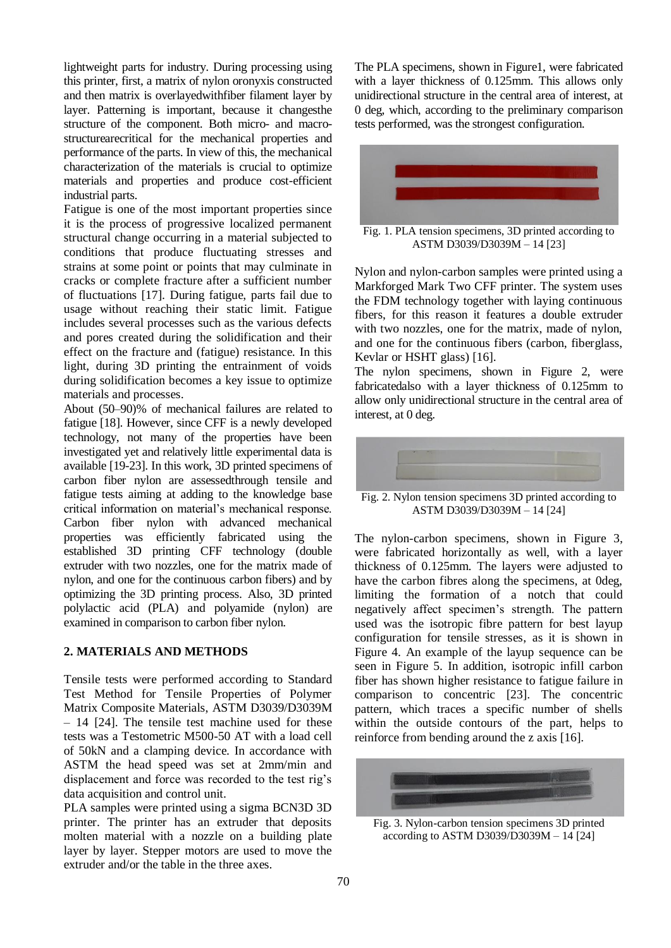lightweight parts for industry. During processing using this printer, first, a matrix of nylon oronyxis constructed and then matrix is overlayedwithfiber filament layer by layer. Patterning is important, because it changesthe structure of the component. Both micro- and macrostructurearecritical for the mechanical properties and performance of the parts. In view of this, the mechanical characterization of the materials is crucial to optimize materials and properties and produce cost-efficient industrial parts.

Fatigue is one of the most important properties since it is the process of progressive localized permanent structural change occurring in a material subjected to conditions that produce fluctuating stresses and strains at some point or points that may culminate in cracks or complete fracture after a sufficient number of fluctuations [17]. During fatigue, parts fail due to usage without reaching their static limit. Fatigue includes several processes such as the various defects and pores created during the solidification and their effect on the fracture and (fatigue) resistance. In this light, during 3D printing the entrainment of voids during solidification becomes a key issue to optimize materials and processes.

About (50–90)% of mechanical failures are related to fatigue [18]. However, since CFF is a newly developed technology, not many of the properties have been investigated yet and relatively little experimental data is available [19-23]. In this work, 3D printed specimens of carbon fiber nylon are assessedthrough tensile and fatigue tests aiming at adding to the knowledge base critical information on material's mechanical response. Carbon fiber nylon with advanced mechanical properties was efficiently fabricated using the established 3D printing CFF technology (double extruder with two nozzles, one for the matrix made of nylon, and one for the continuous carbon fibers) and by optimizing the 3D printing process. Also, 3D printed polylactic acid (PLA) and polyamide (nylon) are examined in comparison to carbon fiber nylon.

## **2. MATERIALS AND METHODS**

Tensile tests were performed according to Standard Test Method for Tensile Properties of Polymer Matrix Composite Materials, ASTM D3039/D3039M – 14 [24]. The tensile test machine used for these tests was a Testometric M500-50 AT with a load cell of 50kN and a clamping device. In accordance with ASTM the head speed was set at 2mm/min and displacement and force was recorded to the test rig's data acquisition and control unit.

PLA samples were printed using a sigma BCN3D 3D printer. The printer has an extruder that deposits molten material with a nozzle on a building plate layer by layer. Stepper motors are used to move the extruder and/or the table in the three axes.

The PLA specimens, shown in Figure1, were fabricated with a layer thickness of 0.125mm. This allows only unidirectional structure in the central area of interest, at 0 deg, which, according to the preliminary comparison tests performed, was the strongest configuration.



Fig. 1. PLA tension specimens, 3D printed according to ASTM D3039/D3039M – 14 [23]

Nylon and nylon-carbon samples were printed using a Markforged Mark Two CFF printer. The system uses the FDM technology together with laying continuous fibers, for this reason it features a double extruder with two nozzles, one for the matrix, made of nylon, and one for the continuous fibers (carbon, fiberglass, Kevlar or HSHT glass) [16].

The nylon specimens, shown in Figure 2, were fabricatedalso with a layer thickness of 0.125mm to allow only unidirectional structure in the central area of interest, at 0 deg.



Fig. 2. Nylon tension specimens 3D printed according to ASTM D3039/D3039M – 14 [24]

The nylon-carbon specimens, shown in Figure 3, were fabricated horizontally as well, with a layer thickness of 0.125mm. The layers were adjusted to have the carbon fibres along the specimens, at 0deg, limiting the formation of a notch that could negatively affect specimen's strength. The pattern used was the isotropic fibre pattern for best layup configuration for tensile stresses, as it is shown in Figure 4. An example of the layup sequence can be seen in Figure 5. In addition, isotropic infill carbon fiber has shown higher resistance to fatigue failure in comparison to concentric [23]. The concentric pattern, which traces a specific number of shells within the outside contours of the part, helps to reinforce from bending around the z axis [16].



Fig. 3. Nylon-carbon tension specimens 3D printed according to ASTM D3039/D3039M – 14 [24]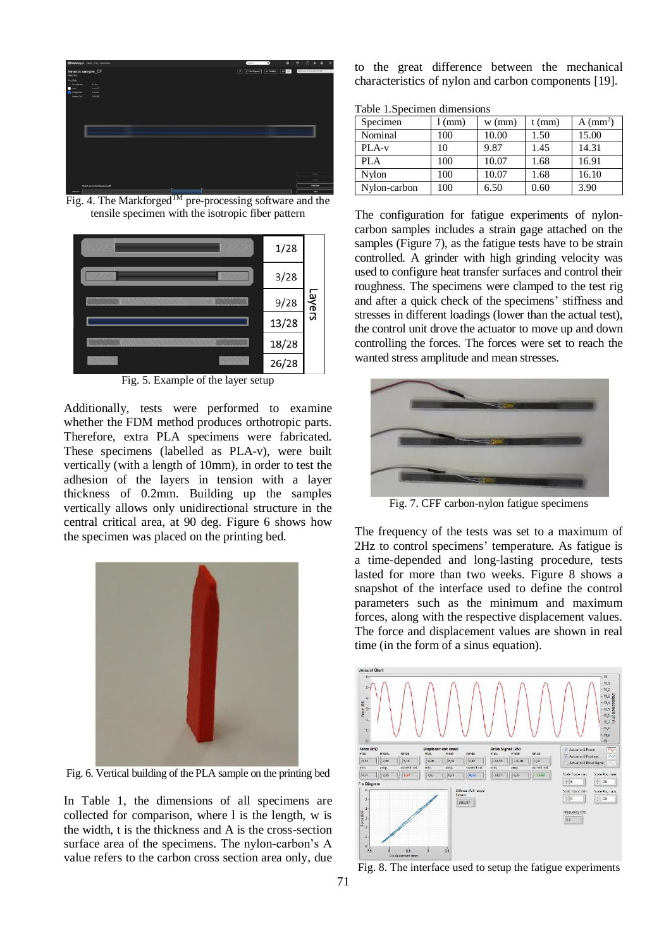

Fig. 4. The Markforged<sup>TM</sup> pre-processing software and the tensile specimen with the isotropic fiber pattern



Fig. 5. Example of the layer setup

Additionally, tests were performed to examine whether the FDM method produces orthotropic parts. Therefore, extra PLA specimens were fabricated. These specimens (labelled as PLA-v), were built vertically (with a length of 10mm), in order to test the adhesion of the layers in tension with a layer thickness of 0.2mm. Building up the samples vertically allows only unidirectional structure in the central critical area, at 90 deg. Figure 6 shows how the specimen was placed on the printing bed.



Fig. 6. Vertical building of the PLA sample on the printing bed

In Table 1, the dimensions of all specimens are collected for comparison, where l is the length, w is the width, t is the thickness and A is the cross-section surface area of the specimens. The nylon-carbon's A value refers to the carbon cross section area only, due

to the great difference between the mechanical characteristics of nylon and carbon components [19].

Table 1.Specimen dimensions

| Specimen     | (mm) | $w$ (mm) | $t$ (mm) | $A$ (mm <sup>2</sup> ) |
|--------------|------|----------|----------|------------------------|
| Nominal      | 100  | 10.00    | 1.50     | 15.00                  |
| PLA-v        | 10   | 9.87     | 1.45     | 14.31                  |
| PLA          | 100  | 10.07    | 1.68     | 16.91                  |
| Nylon        | 100  | 10.07    | 1.68     | 16.10                  |
| Nylon-carbon | 100  | 6.50     | 0.60     | 3.90                   |

The configuration for fatigue experiments of nyloncarbon samples includes a strain gage attached on the samples (Figure 7), as the fatigue tests have to be strain controlled. A grinder with high grinding velocity was used to configure heat transfer surfaces and control their roughness. The specimens were clamped to the test rig and after a quick check of the specimens' stiffness and stresses in different loadings (lower than the actual test), the control unit drove the actuator to move up and down controlling the forces. The forces were set to reach the wanted stress amplitude and mean stresses.



Fig. 7. CFF carbon-nylon fatigue specimens

The frequency of the tests was set to a maximum of 2Hz to control specimens' temperature. As fatigue is a time-depended and long-lasting procedure, tests lasted for more than two weeks. Figure 8 shows a snapshot of the interface used to define the control parameters such as the minimum and maximum forces, along with the respective displacement values. The force and displacement values are shown in real time (in the form of a sinus equation).



Fig. 8. The interface used to setup the fatigue experiments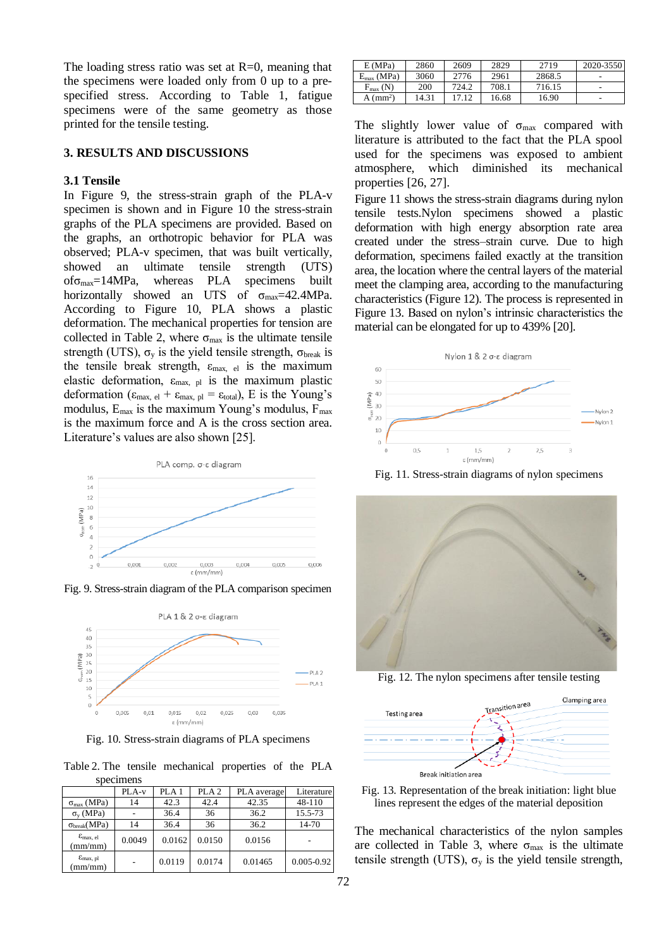The loading stress ratio was set at  $R=0$ , meaning that the specimens were loaded only from 0 up to a prespecified stress. According to Table 1, fatigue specimens were of the same geometry as those printed for the tensile testing.

#### **3. RESULTS AND DISCUSSIONS**

### **3.1 Tensile**

In Figure 9, the stress-strain graph of the PLA-v specimen is shown and in Figure 10 the stress-strain graphs of the PLA specimens are provided. Based on the graphs, an orthotropic behavior for PLA was observed; PLA-v specimen, that was built vertically, showed an ultimate tensile strength (UTS) ofσmax=14MPa, whereas PLA specimens built horizontally showed an UTS of  $\sigma_{\text{max}}$ =42.4MPa. According to Figure 10, PLA shows a plastic deformation. The mechanical properties for tension are collected in Table 2, where  $\sigma_{\text{max}}$  is the ultimate tensile strength (UTS),  $\sigma_y$  is the yield tensile strength,  $\sigma_{\text{break}}$  is the tensile break strength,  $\varepsilon_{\text{max}}$ , el is the maximum elastic deformation,  $\varepsilon_{\text{max, pl}}$  is the maximum plastic deformation ( $\epsilon_{\text{max, el}} + \epsilon_{\text{max, pl}} = \epsilon_{\text{total}}$ ), E is the Young's modulus,  $E_{\text{max}}$  is the maximum Young's modulus,  $F_{\text{max}}$ is the maximum force and A is the cross section area. Literature's values are also shown [25].



Fig. 9. Stress-strain diagram of the PLA comparison specimen



Fig. 10. Stress-strain diagrams of PLA specimens

Table 2. The tensile mechanical properties of the PLA specimens

|                                           | PLA-v  | PLA <sub>1</sub> | PLA <sub>2</sub> | PLA average | Literature     |
|-------------------------------------------|--------|------------------|------------------|-------------|----------------|
| $\sigma_{\text{max}}$ (MPa)               | 14     | 42.3             | 42.4             | 42.35       | 48-110         |
| $\sigma_{v}$ (MPa)                        |        | 36.4             | 36               | 36.2        | 15.5-73        |
| $\sigma_{break}(MPa)$                     | 14     | 36.4             | 36               | 36.2        | 14-70          |
| $\varepsilon_{\text{max. el}}$<br>(mm/mm) | 0.0049 | 0.0162           | 0.0150           | 0.0156      |                |
| $\varepsilon_{\text{max, pl}}$<br>(mm/mm) |        | 0.0119           | 0.0174           | 0.01465     | $0.005 - 0.92$ |

| E(MPa)                        | 2860  | 2609  | 2829  | 2719   | 2020-3550                    |
|-------------------------------|-------|-------|-------|--------|------------------------------|
| $_{x}$ (MPa)<br>$E_{\rm max}$ | 3060  | 2776  | 2961  | 2868.5 | $\overline{\phantom{a}}$     |
| $F_{\text{max}}$ (N)          | 200   | 724.2 | 708.1 | 716.15 | $\qquad \qquad \blacksquare$ |
| A $\text{(mm)}$               | 14.31 | 17.12 | 16.68 | 16.90  | ٠                            |

The slightly lower value of  $\sigma_{\text{max}}$  compared with literature is attributed to the fact that the PLA spool used for the specimens was exposed to ambient atmosphere, which diminished its mechanical properties [26, 27].

Figure 11 shows the stress-strain diagrams during nylon tensile tests.Nylon specimens showed a plastic deformation with high energy absorption rate area created under the stress–strain curve. Due to high deformation, specimens failed exactly at the transition area, the location where the central layers of the material meet the clamping area, according to the manufacturing characteristics (Figure 12). The process is represented in Figure 13. Based on nylon's intrinsic characteristics the material can be elongated for up to 439% [20].



Fig. 11. Stress-strain diagrams of nylon specimens



Fig. 12. The nylon specimens after tensile testing



Fig. 13. Representation of the break initiation: light blue lines represent the edges of the material deposition

The mechanical characteristics of the nylon samples are collected in Table 3, where  $\sigma_{\text{max}}$  is the ultimate tensile strength (UTS),  $\sigma_v$  is the yield tensile strength,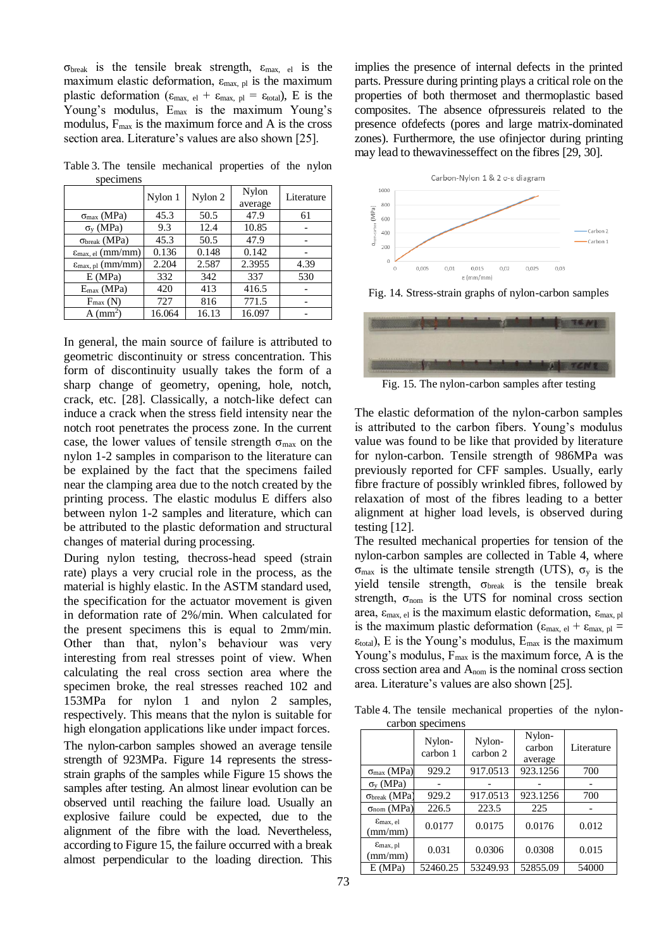σ<sub>break</sub> is the tensile break strength,  $ε<sub>max, el</sub>$  is the maximum elastic deformation,  $\varepsilon_{\text{max}}$  by is the maximum plastic deformation ( $\varepsilon_{\text{max, el}} + \varepsilon_{\text{max, pl}} = \varepsilon_{\text{total}}$ ), E is the Young's modulus, E<sub>max</sub> is the maximum Young's modulus,  $F_{\text{max}}$  is the maximum force and A is the cross section area. Literature's values are also shown [25].

Table 3. The tensile mechanical properties of the nylon specimens

|                                        | Nylon 1 | Nylon 2 | Nylon<br>average | Literature |
|----------------------------------------|---------|---------|------------------|------------|
| $\sigma_{max}$ (MPa)                   | 45.3    | 50.5    | 47.9             | 61         |
| $\sigma_v$ (MPa)                       | 9.3     | 12.4    | 10.85            |            |
| $\sigma_{break}$ (MPa)                 | 45.3    | 50.5    | 47.9             |            |
| $\varepsilon_{\text{max, el}}$ (mm/mm) | 0.136   | 0.148   | 0.142            |            |
| $\varepsilon_{\text{max, pl}}$ (mm/mm) | 2.204   | 2.587   | 2.3955           | 4.39       |
| E(MPa)                                 | 332     | 342     | 337              | 530        |
| $E_{max}$ (MPa)                        | 420     | 413     | 416.5            |            |
| $F_{\text{max}}(N)$                    | 727     | 816     | 771.5            |            |
| $A$ (mm <sup>2</sup> )                 | 16.064  | 16.13   | 16.097           |            |

In general, the main source of failure is attributed to geometric discontinuity or stress concentration. This form of discontinuity usually takes the form of a sharp change of geometry, opening, hole, notch, crack, etc. [28]. Classically, a notch-like defect can induce a crack when the stress field intensity near the notch root penetrates the process zone. In the current case, the lower values of tensile strength  $\sigma_{\text{max}}$  on the nylon 1-2 samples in comparison to the literature can be explained by the fact that the specimens failed near the clamping area due to the notch created by the printing process. The elastic modulus E differs also between nylon 1-2 samples and literature, which can be attributed to the plastic deformation and structural changes of material during processing.

During nylon testing, thecross-head speed (strain rate) plays a very crucial role in the process, as the material is highly elastic. In the ASTM standard used, the specification for the actuator movement is given in deformation rate of 2%/min. When calculated for the present specimens this is equal to 2mm/min. Other than that, nylon's behaviour was very interesting from real stresses point of view. When calculating the real cross section area where the specimen broke, the real stresses reached 102 and 153MPa for nylon 1 and nylon 2 samples, respectively. This means that the nylon is suitable for high elongation applications like under impact forces.

The nylon-carbon samples showed an average tensile strength of 923MPa. Figure 14 represents the stressstrain graphs of the samples while Figure 15 shows the samples after testing. An almost linear evolution can be observed until reaching the failure load. Usually an explosive failure could be expected, due to the alignment of the fibre with the load. Nevertheless, according to Figure 15, the failure occurred with a break almost perpendicular to the loading direction. This

implies the presence of internal defects in the printed parts. Pressure during printing plays a critical role on the properties of both thermoset and thermoplastic based composites. The absence ofpressureis related to the presence ofdefects (pores and large matrix-dominated zones). Furthermore, the use ofinjector during printing may lead to thewavinesseffect on the fibres [29, 30].



Fig. 14. Stress-strain graphs of nylon-carbon samples



Fig. 15. The nylon-carbon samples after testing

The elastic deformation of the nylon-carbon samples is attributed to the carbon fibers. Young's modulus value was found to be like that provided by literature for nylon-carbon. Tensile strength of 986MPa was previously reported for CFF samples. Usually, early fibre fracture of possibly wrinkled fibres, followed by relaxation of most of the fibres leading to a better alignment at higher load levels, is observed during testing [12].

The resulted mechanical properties for tension of the nylon-carbon samples are collected in Table 4, where σ<sub>max</sub> is the ultimate tensile strength (UTS),  $σ<sub>y</sub>$  is the yield tensile strength,  $\sigma_{break}$  is the tensile break strength,  $\sigma_{nom}$  is the UTS for nominal cross section area,  $ε_{\text{max, el}}$  is the maximum elastic deformation,  $ε_{\text{max, pl}}$ is the maximum plastic deformation ( $\varepsilon_{\text{max, el}} + \varepsilon_{\text{max, pl}} =$  $\varepsilon_{\text{total}}$ ), E is the Young's modulus,  $E_{\text{max}}$  is the maximum Young's modulus,  $F_{\text{max}}$  is the maximum force, A is the cross section area and Anom is the nominal cross section area. Literature's values are also shown [25].

Table 4. The tensile mechanical properties of the nyloncarbon specimens

|                                            | Nylon-<br>carbon 1 | Nylon-<br>carbon 2 | Nylon-<br>carbon<br>average | Literature |
|--------------------------------------------|--------------------|--------------------|-----------------------------|------------|
| $\sigma_{max}$ (MPa)                       | 929.2              | 917.0513           | 923.1256                    | 700        |
| $\sigma_v$ (MPa)                           |                    |                    |                             |            |
| $\sigma_{break}$ (MPa)                     | 929.2              | 917.0513           | 923.1256                    | 700        |
| $\sigma_{nom}$ (MPa)                       | 226.5              | 223.5              | 225                         |            |
| $\varepsilon_{\text{max}}$ , el<br>(mm/mm) | 0.0177             | 0.0175             | 0.0176                      | 0.012      |
| $E$ max, pl<br>(mm/mm)                     | 0.031              | 0.0306             | 0.0308                      | 0.015      |
| E(MPa)                                     | 52460.25           | 53249.93           | 52855.09                    | 54000      |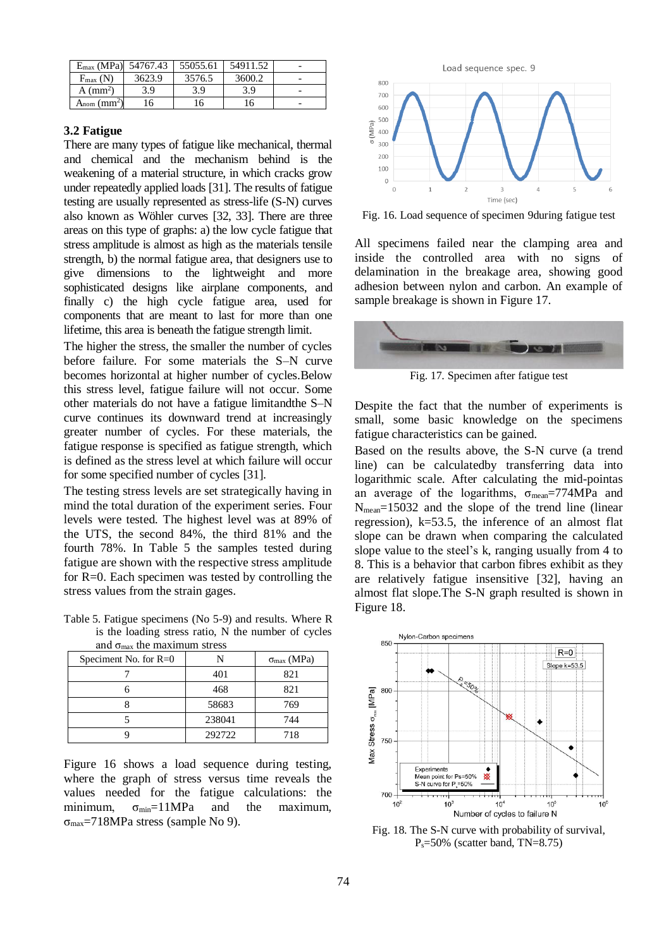| $E_{\text{max}}$ (MPa) 54767.43 |        | 55055.61 | 54911.52 |  |
|---------------------------------|--------|----------|----------|--|
| $F_{\text{max}}$ (N)            | 3623.9 | 3576.5   | 3600.2   |  |
| $A$ (mm <sup>2</sup> )          | 3.9    | 3.9      | 3.9      |  |
| $A_{nom}$ (mm <sup>2</sup> )    | 16     | 16       | 46       |  |

#### **3.2 Fatigue**

There are many types of fatigue like mechanical, thermal and chemical and the mechanism behind is the weakening of a material structure, in which cracks grow under repeatedly applied loads [31]. The results of fatigue testing are usually represented as stress-life (S-N) curves also known as Wöhler curves [32, 33]. There are three areas on this type of graphs: a) the low cycle fatigue that stress amplitude is almost as high as the materials tensile strength, b) the normal fatigue area, that designers use to give dimensions to the lightweight and more sophisticated designs like airplane components, and finally c) the high cycle fatigue area, used for components that are meant to last for more than one lifetime, this area is beneath the fatigue strength limit.

The higher the stress, the smaller the number of cycles before failure. For some materials the S–N curve becomes horizontal at higher number of cycles.Below this stress level, fatigue failure will not occur. Some other materials do not have a fatigue limitandthe S–N curve continues its downward trend at increasingly greater number of cycles. For these materials, the fatigue response is specified as fatigue strength, which is defined as the stress level at which failure will occur for some specified number of cycles [31].

The testing stress levels are set strategically having in mind the total duration of the experiment series. Four levels were tested. The highest level was at 89% of the UTS, the second 84%, the third 81% and the fourth 78%. In Table 5 the samples tested during fatigue are shown with the respective stress amplitude for R=0. Each specimen was tested by controlling the stress values from the strain gages.

Table 5. Fatigue specimens (No 5-9) and results. Where R is the loading stress ratio, N the number of cycles and  $\sigma$  the maximum stress

| and Omax the maximum sucss |        |                             |  |  |  |
|----------------------------|--------|-----------------------------|--|--|--|
| Speciment No. for $R=0$    |        | $\sigma_{\text{max}}$ (MPa) |  |  |  |
|                            | 401    | 821                         |  |  |  |
|                            | 468    | 821                         |  |  |  |
|                            | 58683  | 769                         |  |  |  |
|                            | 238041 | 744                         |  |  |  |
|                            | 292722 | 718                         |  |  |  |

Figure 16 shows a load sequence during testing. where the graph of stress versus time reveals the values needed for the fatigue calculations: the minimum,  $\sigma_{min} = 11MPa$  and the maximum,  $σ<sub>max</sub>=718MPa stress (sample No 9).$ 



Fig. 16. Load sequence of specimen 9during fatigue test

All specimens failed near the clamping area and inside the controlled area with no signs of delamination in the breakage area, showing good adhesion between nylon and carbon. An example of sample breakage is shown in Figure 17.



Fig. 17. Specimen after fatigue test

Despite the fact that the number of experiments is small, some basic knowledge on the specimens fatigue characteristics can be gained.

Based on the results above, the S-N curve (a trend line) can be calculatedby transferring data into logarithmic scale. After calculating the mid-pointas an average of the logarithms,  $\sigma_{mean} = 774 MPa$  and Nmean=15032 and the slope of the trend line (linear regression), k=53.5, the inference of an almost flat slope can be drawn when comparing the calculated slope value to the steel's k, ranging usually from 4 to 8. This is a behavior that carbon fibres exhibit as they are relatively fatigue insensitive [32], having an almost flat slope.The S-N graph resulted is shown in Figure 18.



Fig. 18. The S-N curve with probability of survival, Ps=50% (scatter band, TN=8.75)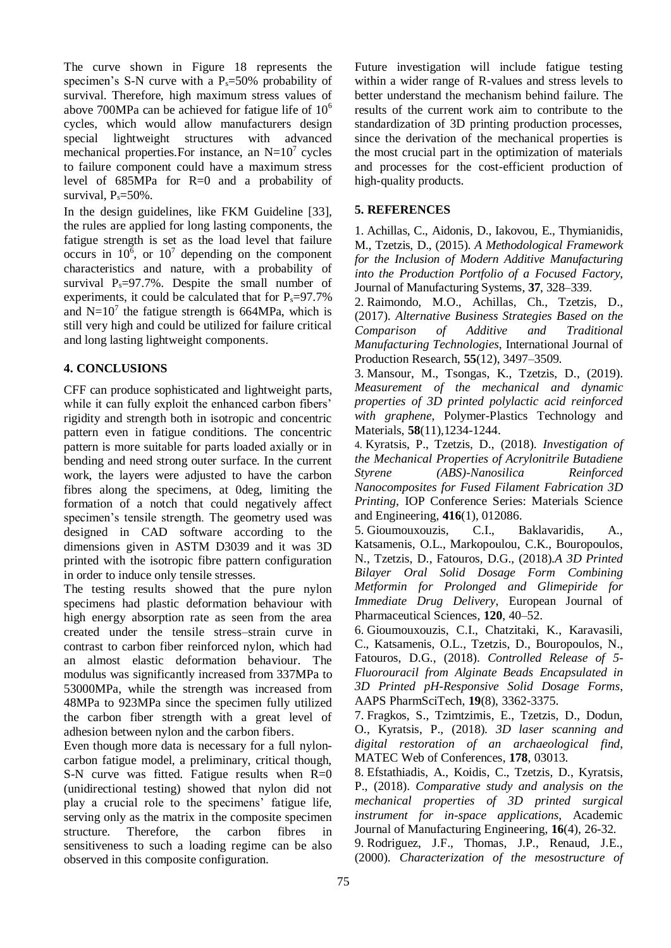The curve shown in Figure 18 represents the specimen's S-N curve with a  $P_s = 50\%$  probability of survival. Therefore, high maximum stress values of above 700MPa can be achieved for fatigue life of  $10<sup>6</sup>$ cycles, which would allow manufacturers design special lightweight structures with advanced mechanical properties. For instance, an  $N=10^7$  cycles to failure component could have a maximum stress level of 685MPa for R=0 and a probability of survival,  $P_s = 50\%$ .

In the design guidelines, like FKM Guideline [33], the rules are applied for long lasting components, the fatigue strength is set as the load level that failure occurs in  $10^6$ , or  $10^7$  depending on the component characteristics and nature, with a probability of survival  $P_s = 97.7\%$ . Despite the small number of experiments, it could be calculated that for  $P_s = 97.7\%$ and  $N=10<sup>7</sup>$  the fatigue strength is 664MPa, which is still very high and could be utilized for failure critical and long lasting lightweight components.

## **4. CONCLUSIONS**

CFF can produce sophisticated and lightweight parts, while it can fully exploit the enhanced carbon fibers' rigidity and strength both in isotropic and concentric pattern even in fatigue conditions. The concentric pattern is more suitable for parts loaded axially or in bending and need strong outer surface. In the current work, the layers were adjusted to have the carbon fibres along the specimens, at 0deg, limiting the formation of a notch that could negatively affect specimen's tensile strength. The geometry used was designed in CAD software according to the dimensions given in ASTM D3039 and it was 3D printed with the isotropic fibre pattern configuration in order to induce only tensile stresses.

The testing results showed that the pure nylon specimens had plastic deformation behaviour with high energy absorption rate as seen from the area created under the tensile stress–strain curve in contrast to carbon fiber reinforced nylon, which had an almost elastic deformation behaviour. The modulus was significantly increased from 337MPa to 53000MPa, while the strength was increased from 48MPa to 923MPa since the specimen fully utilized the carbon fiber strength with a great level of adhesion between nylon and the carbon fibers.

Even though more data is necessary for a full nyloncarbon fatigue model, a preliminary, critical though, S-N curve was fitted. Fatigue results when R=0 (unidirectional testing) showed that nylon did not play a crucial role to the specimens' fatigue life, serving only as the matrix in the composite specimen structure. Therefore, the carbon fibres in sensitiveness to such a loading regime can be also observed in this composite configuration.

Future investigation will include fatigue testing within a wider range of R-values and stress levels to better understand the mechanism behind failure. The results of the current work aim to contribute to the standardization of 3D printing production processes, since the derivation of the mechanical properties is the most crucial part in the optimization of materials and processes for the cost-efficient production of high-quality products.

## **5. REFERENCES**

1. Achillas, C., Aidonis, D., Iakovou, E., Thymianidis, M., Tzetzis, D., (2015). *A Methodological Framework for the Inclusion of Modern Additive Manufacturing into the Production Portfolio of a Focused Factory*, Journal of Manufacturing Systems, **37**, 328–339.

2. Raimondo, M.O., Achillas, Ch., Tzetzis, D., (2017). *Alternative Business Strategies Based on the Comparison of Additive and Traditional Manufacturing Technologies*, International Journal of Production Research, **55**(12), 3497–3509.

3. Mansour, M., Tsongas, K., Tzetzis, D., (2019). *Measurement of the mechanical and dynamic properties of 3D printed polylactic acid reinforced with graphene*, Polymer-Plastics Technology and Materials, **58**(11),1234-1244.

4. Kyratsis, P., Tzetzis, D., (2018). *Investigation of the Mechanical Properties of Acrylonitrile Butadiene Styrene (ABS)-Nanosilica Reinforced Nanocomposites for Fused Filament Fabrication 3D Printing*, IOP Conference Series: Materials Science and Engineering, **416**(1), 012086.

5. Gioumouxouzis, C.I., Baklavaridis, A., Katsamenis, O.L., Markopoulou, C.K., Bouropoulos, N., Tzetzis, D., Fatouros, D.G., (2018).*A 3D Printed Bilayer Oral Solid Dosage Form Combining Metformin for Prolonged and Glimepiride for Immediate Drug Delivery*, European Journal of Pharmaceutical Sciences, **120**, 40–52.

6. Gioumouxouzis, C.I., Chatzitaki, K., Karavasili, C., Katsamenis, O.L., Tzetzis, D., Bouropoulos, N., Fatouros, D.G., (2018). *Controlled Release of 5- Fluorouracil from Alginate Beads Encapsulated in 3D Printed pH-Responsive Solid Dosage Forms*, AAPS PharmSciTech, **19**(8), 3362-3375.

7. Fragkos, S., Tzimtzimis, E., Tzetzis, D., Dodun, O., Kyratsis, P., (2018). *3D laser scanning and digital restoration of an archaeological find*, MATEC Web of Conferences, **178**, 03013.

8. Efstathiadis, A., Koidis, C., Tzetzis, D., Kyratsis, P., (2018). *Comparative study and analysis on the mechanical properties of 3D printed surgical instrument for in-space applications*, Academic Journal of Manufacturing Engineering, **16**(4), 26-32. 9. Rodriguez, J.F., Thomas, J.P., Renaud, J.E.,

(2000). *Characterization of the mesostructure of*